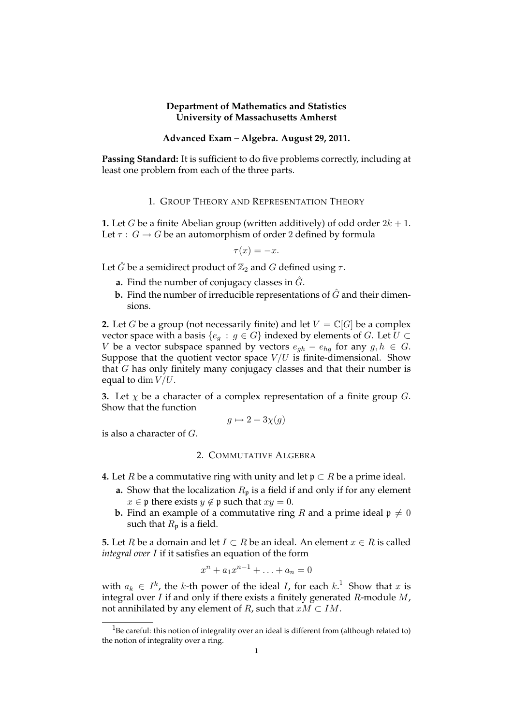## **Department of Mathematics and Statistics University of Massachusetts Amherst**

## **Advanced Exam – Algebra. August 29, 2011.**

**Passing Standard:** It is sufficient to do five problems correctly, including at least one problem from each of the three parts.

#### 1. GROUP THEORY AND REPRESENTATION THEORY

**1.** Let G be a finite Abelian group (written additively) of odd order  $2k + 1$ . Let  $\tau : G \to G$  be an automorphism of order 2 defined by formula

$$
\tau(x) = -x.
$$

Let  $\hat{G}$  be a semidirect product of  $\mathbb{Z}_2$  and  $G$  defined using  $\tau$ .

- **a.** Find the number of conjugacy classes in  $G$ .
- **b.** Find the number of irreducible representations of  $\hat{G}$  and their dimensions.

**2.** Let G be a group (not necessarily finite) and let  $V = \mathbb{C}[G]$  be a complex vector space with a basis { $e_g : g \in G$ } indexed by elements of G. Let  $U \subset$ V be a vector subspace spanned by vectors  $e_{gh} - e_{hg}$  for any  $g, h \in G$ . Suppose that the quotient vector space  $V/U$  is finite-dimensional. Show that G has only finitely many conjugacy classes and that their number is equal to dim  $V/U$ .

**3.** Let  $\chi$  be a character of a complex representation of a finite group  $G$ . Show that the function

$$
g \mapsto 2 + 3\chi(g)
$$

is also a character of G.

## 2. COMMUTATIVE ALGEBRA

- **4.** Let *R* be a commutative ring with unity and let  $p \subset R$  be a prime ideal.
	- **a.** Show that the localization  $R_p$  is a field if and only if for any element  $x \in \mathfrak{p}$  there exists  $y \notin \mathfrak{p}$  such that  $xy = 0$ .
	- **b.** Find an example of a commutative ring R and a prime ideal  $\mathfrak{p} \neq 0$ such that  $R_p$  is a field.

**5.** Let R be a domain and let  $I \subset R$  be an ideal. An element  $x \in R$  is called *integral over* I if it satisfies an equation of the form

$$
x^n + a_1 x^{n-1} + \ldots + a_n = 0
$$

with  $a_k \in I^k$ , the k-th power of the ideal I, for each  $k$ .<sup>1</sup> Show that x is integral over  $I$  if and only if there exists a finitely generated  $R$ -module  $M$ , not annihilated by any element of R, such that  $xM \subset IM$ .

 $1$ Be careful: this notion of integrality over an ideal is different from (although related to) the notion of integrality over a ring.